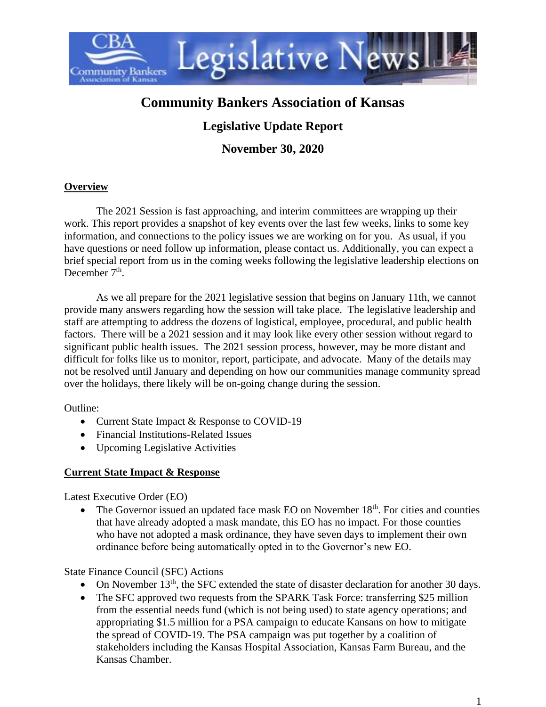

# **Community Bankers Association of Kansas**

# **Legislative Update Report**

**November 30, 2020**

#### **Overview**

The 2021 Session is fast approaching, and interim committees are wrapping up their work. This report provides a snapshot of key events over the last few weeks, links to some key information, and connections to the policy issues we are working on for you. As usual, if you have questions or need follow up information, please contact us. Additionally, you can expect a brief special report from us in the coming weeks following the legislative leadership elections on December  $7<sup>th</sup>$ .

As we all prepare for the 2021 legislative session that begins on January 11th, we cannot provide many answers regarding how the session will take place. The legislative leadership and staff are attempting to address the dozens of logistical, employee, procedural, and public health factors. There will be a 2021 session and it may look like every other session without regard to significant public health issues. The 2021 session process, however, may be more distant and difficult for folks like us to monitor, report, participate, and advocate. Many of the details may not be resolved until January and depending on how our communities manage community spread over the holidays, there likely will be on-going change during the session.

Outline:

- Current State Impact & Response to COVID-19
- Financial Institutions-Related Issues
- Upcoming Legislative Activities

#### **Current State Impact & Response**

Latest Executive Order (EO)

• The Governor issued an updated face mask EO on November  $18<sup>th</sup>$ . For cities and counties that have already adopted a mask mandate, this EO has no impact. For those counties who have not adopted a mask ordinance, they have seven days to implement their own ordinance before being automatically opted in to the Governor's new EO.

State Finance Council (SFC) Actions

- On November 13<sup>th</sup>, the SFC extended the state of disaster declaration for another 30 days.
- The SFC approved two requests from the SPARK Task Force: transferring \$25 million from the essential needs fund (which is not being used) to state agency operations; and appropriating \$1.5 million for a PSA campaign to educate Kansans on how to mitigate the spread of COVID-19. The PSA campaign was put together by a coalition of stakeholders including the Kansas Hospital Association, Kansas Farm Bureau, and the Kansas Chamber.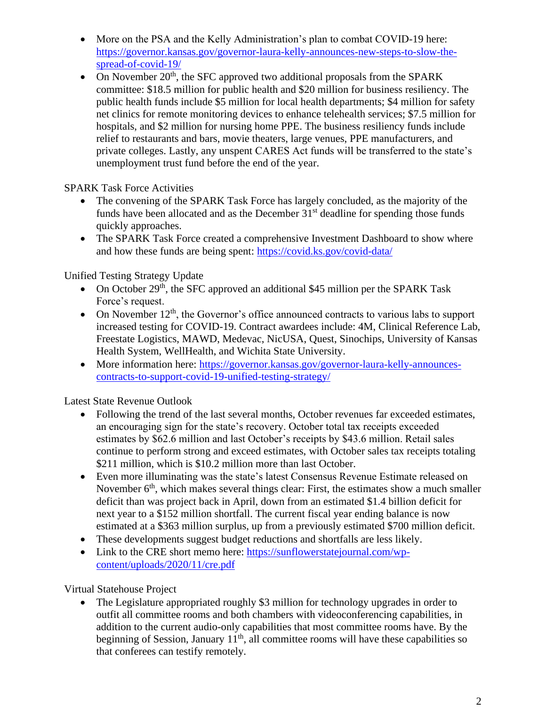- More on the PSA and the Kelly Administration's plan to combat COVID-19 here: [https://governor.kansas.gov/governor-laura-kelly-announces-new-steps-to-slow-the](https://governor.kansas.gov/governor-laura-kelly-announces-new-steps-to-slow-the-spread-of-covid-19/)[spread-of-covid-19/](https://governor.kansas.gov/governor-laura-kelly-announces-new-steps-to-slow-the-spread-of-covid-19/)
- On November  $20<sup>th</sup>$ , the SFC approved two additional proposals from the SPARK committee: \$18.5 million for public health and \$20 million for business resiliency. The public health funds include \$5 million for local health departments; \$4 million for safety net clinics for remote monitoring devices to enhance telehealth services; \$7.5 million for hospitals, and \$2 million for nursing home PPE. The business resiliency funds include relief to restaurants and bars, movie theaters, large venues, PPE manufacturers, and private colleges. Lastly, any unspent CARES Act funds will be transferred to the state's unemployment trust fund before the end of the year.

SPARK Task Force Activities

- The convening of the SPARK Task Force has largely concluded, as the majority of the funds have been allocated and as the December  $31<sup>st</sup>$  deadline for spending those funds quickly approaches.
- The SPARK Task Force created a comprehensive Investment Dashboard to show where and how these funds are being spent:<https://covid.ks.gov/covid-data/>

Unified Testing Strategy Update

- On October 29<sup>th</sup>, the SFC approved an additional \$45 million per the SPARK Task Force's request.
- On November  $12<sup>th</sup>$ , the Governor's office announced contracts to various labs to support increased testing for COVID-19. Contract awardees include: 4M, Clinical Reference Lab, Freestate Logistics, MAWD, Medevac, NicUSA, Quest, Sinochips, University of Kansas Health System, WellHealth, and Wichita State University.
- More information here: [https://governor.kansas.gov/governor-laura-kelly-announces](https://governor.kansas.gov/governor-laura-kelly-announces-contracts-to-support-covid-19-unified-testing-strategy/)[contracts-to-support-covid-19-unified-testing-strategy/](https://governor.kansas.gov/governor-laura-kelly-announces-contracts-to-support-covid-19-unified-testing-strategy/)

Latest State Revenue Outlook

- Following the trend of the last several months, October revenues far exceeded estimates, an encouraging sign for the state's recovery. October total tax receipts exceeded estimates by \$62.6 million and last October's receipts by \$43.6 million. Retail sales continue to perform strong and exceed estimates, with October sales tax receipts totaling \$211 million, which is \$10.2 million more than last October.
- Even more illuminating was the state's latest Consensus Revenue Estimate released on November  $6<sup>th</sup>$ , which makes several things clear: First, the estimates show a much smaller deficit than was project back in April, down from an estimated \$1.4 billion deficit for next year to a \$152 million shortfall. The current fiscal year ending balance is now estimated at a \$363 million surplus, up from a previously estimated \$700 million deficit.
- These developments suggest budget reductions and shortfalls are less likely.
- Link to the CRE short memo here: [https://sunflowerstatejournal.com/wp](https://sunflowerstatejournal.com/wp-content/uploads/2020/11/cre.pdf)[content/uploads/2020/11/cre.pdf](https://sunflowerstatejournal.com/wp-content/uploads/2020/11/cre.pdf)

Virtual Statehouse Project

• The Legislature appropriated roughly \$3 million for technology upgrades in order to outfit all committee rooms and both chambers with videoconferencing capabilities, in addition to the current audio-only capabilities that most committee rooms have. By the beginning of Session, January  $11<sup>th</sup>$ , all committee rooms will have these capabilities so that conferees can testify remotely.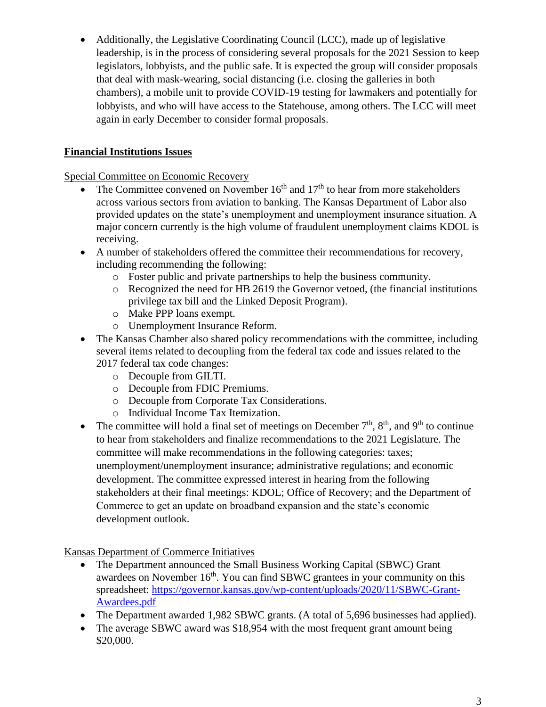• Additionally, the Legislative Coordinating Council (LCC), made up of legislative leadership, is in the process of considering several proposals for the 2021 Session to keep legislators, lobbyists, and the public safe. It is expected the group will consider proposals that deal with mask-wearing, social distancing (i.e. closing the galleries in both chambers), a mobile unit to provide COVID-19 testing for lawmakers and potentially for lobbyists, and who will have access to the Statehouse, among others. The LCC will meet again in early December to consider formal proposals.

## **Financial Institutions Issues**

Special Committee on Economic Recovery

- The Committee convened on November  $16<sup>th</sup>$  and  $17<sup>th</sup>$  to hear from more stakeholders across various sectors from aviation to banking. The Kansas Department of Labor also provided updates on the state's unemployment and unemployment insurance situation. A major concern currently is the high volume of fraudulent unemployment claims KDOL is receiving.
- A number of stakeholders offered the committee their recommendations for recovery, including recommending the following:
	- o Foster public and private partnerships to help the business community.
	- o Recognized the need for HB 2619 the Governor vetoed, (the financial institutions privilege tax bill and the Linked Deposit Program).
	- o Make PPP loans exempt.
	- o Unemployment Insurance Reform.
- The Kansas Chamber also shared policy recommendations with the committee, including several items related to decoupling from the federal tax code and issues related to the 2017 federal tax code changes:
	- o Decouple from GILTI.
	- o Decouple from FDIC Premiums.
	- o Decouple from Corporate Tax Considerations.
	- o Individual Income Tax Itemization.
- The committee will hold a final set of meetings on December  $7<sup>th</sup>$ ,  $8<sup>th</sup>$ , and  $9<sup>th</sup>$  to continue to hear from stakeholders and finalize recommendations to the 2021 Legislature. The committee will make recommendations in the following categories: taxes; unemployment/unemployment insurance; administrative regulations; and economic development. The committee expressed interest in hearing from the following stakeholders at their final meetings: KDOL; Office of Recovery; and the Department of Commerce to get an update on broadband expansion and the state's economic development outlook.

Kansas Department of Commerce Initiatives

- The Department announced the Small Business Working Capital (SBWC) Grant awardees on November  $16<sup>th</sup>$ . You can find SBWC grantees in your community on this spreadsheet: [https://governor.kansas.gov/wp-content/uploads/2020/11/SBWC-Grant-](https://governor.kansas.gov/wp-content/uploads/2020/11/SBWC-Grant-Awardees.pdf)[Awardees.pdf](https://governor.kansas.gov/wp-content/uploads/2020/11/SBWC-Grant-Awardees.pdf)
- The Department awarded 1,982 SBWC grants. (A total of 5,696 businesses had applied).
- The average SBWC award was \$18,954 with the most frequent grant amount being \$20,000.